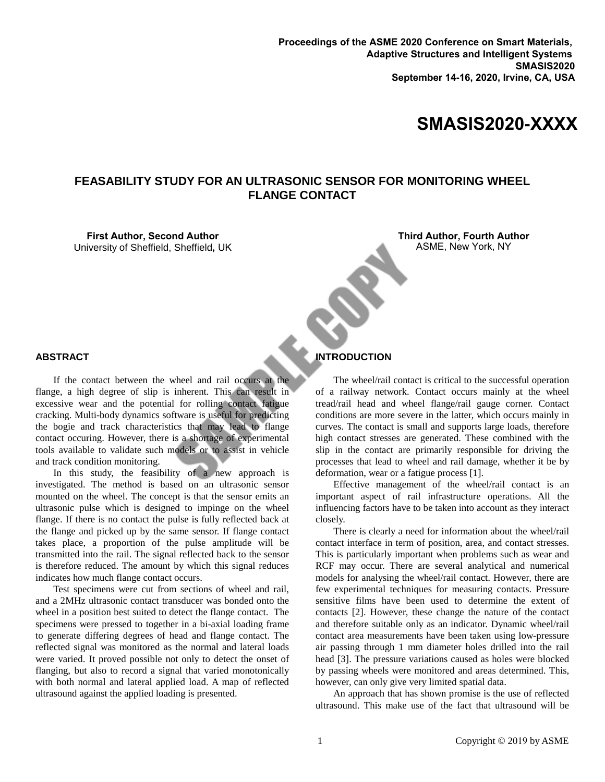

# **FEASABILITY STUDY FOR AN ULTRASONIC SENSOR FOR MONITORING WHEEL FLANGE CONTACT**

**First Author, Second Author** University of Sheffield, Sheffield**,** UK **Third Author, Fourth Author** ASME, New York, NY

#### **ABSTRACT**

If the contact between the wheel and rail occurs at the flange, a high degree of slip is inherent. This can result in excessive wear and the potential for rolling contact fatigue cracking. Multi-body dynamics software is useful for predicting the bogie and track characteristics that may lead to flange contact occuring. However, there is a shortage of experimental tools available to validate such models or to assist in vehicle and track condition monitoring.

In this study, the feasibility of a new approach is investigated. The method is based on an ultrasonic sensor mounted on the wheel. The concept is that the sensor emits an ultrasonic pulse which is designed to impinge on the wheel flange. If there is no contact the pulse is fully reflected back at the flange and picked up by the same sensor. If flange contact takes place, a proportion of the pulse amplitude will be transmitted into the rail. The signal reflected back to the sensor is therefore reduced. The amount by which this signal reduces indicates how much flange contact occurs.

Test specimens were cut from sections of wheel and rail, and a 2MHz ultrasonic contact transducer was bonded onto the wheel in a position best suited to detect the flange contact. The specimens were pressed to together in a bi-axial loading frame to generate differing degrees of head and flange contact. The reflected signal was monitored as the normal and lateral loads were varied. It proved possible not only to detect the onset of flanging, but also to record a signal that varied monotonically with both normal and lateral applied load. A map of reflected ultrasound against the applied loading is presented.

## **INTRODUCTION**

The wheel/rail contact is critical to the successful operation of a railway network. Contact occurs mainly at the wheel tread/rail head and wheel flange/rail gauge corner. Contact conditions are more severe in the latter, which occurs mainly in curves. The contact is small and supports large loads, therefore high contact stresses are generated. These combined with the slip in the contact are primarily responsible for driving the processes that lead to wheel and rail damage, whether it be by deformation, wear or a fatigue process [1].

Effective management of the wheel/rail contact is an important aspect of rail infrastructure operations. All the influencing factors have to be taken into account as they interact closely.

There is clearly a need for information about the wheel/rail contact interface in term of position, area, and contact stresses. This is particularly important when problems such as wear and RCF may occur. There are several analytical and numerical models for analysing the wheel/rail contact. However, there are few experimental techniques for measuring contacts. Pressure sensitive films have been used to determine the extent of contacts [2]. However, these change the nature of the contact and therefore suitable only as an indicator. Dynamic wheel/rail contact area measurements have been taken using low-pressure air passing through 1 mm diameter holes drilled into the rail head [3]. The pressure variations caused as holes were blocked by passing wheels were monitored and areas determined. This, however, can only give very limited spatial data.

An approach that has shown promise is the use of reflected ultrasound. This make use of the fact that ultrasound will be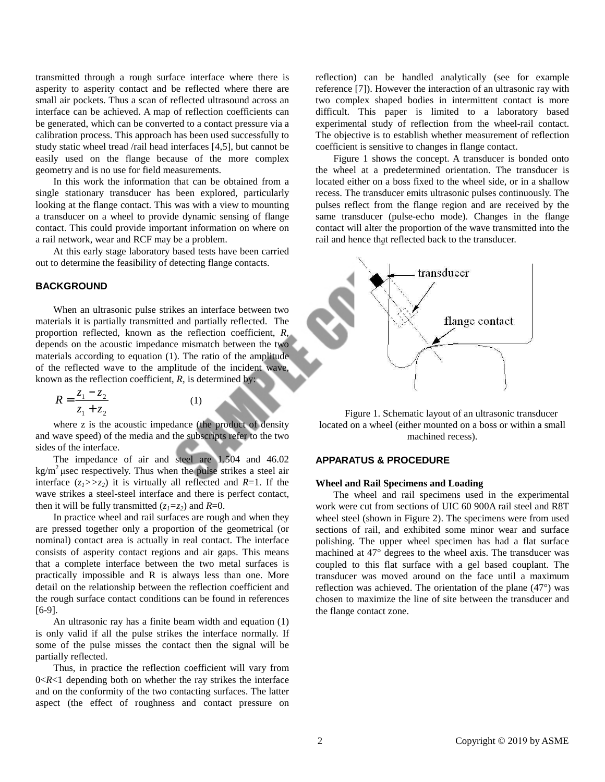transmitted through a rough surface interface where there is asperity to asperity contact and be reflected where there are small air pockets. Thus a scan of reflected ultrasound across an interface can be achieved. A map of reflection coefficients can be generated, which can be converted to a contact pressure via a calibration process. This approach has been used successfully to study static wheel tread /rail head interfaces [4,5], but cannot be easily used on the flange because of the more complex geometry and is no use for field measurements.

In this work the information that can be obtained from a single stationary transducer has been explored, particularly looking at the flange contact. This was with a view to mounting a transducer on a wheel to provide dynamic sensing of flange contact. This could provide important information on where on a rail network, wear and RCF may be a problem.

At this early stage laboratory based tests have been carried out to determine the feasibility of detecting flange contacts.

## **BACKGROUND**

When an ultrasonic pulse strikes an interface between two materials it is partially transmitted and partially reflected. The proportion reflected, known as the reflection coefficient, *R*, depends on the acoustic impedance mismatch between the two materials according to equation (1). The ratio of the amplitude of the reflected wave to the amplitude of the incident wave, known as the reflection coefficient, *R*, is determined by:

$$
R = \frac{z_1 - z_2}{z_1 + z_2} \tag{1}
$$

where z is the acoustic impedance (the product of density and wave speed) of the media and the subscripts refer to the two sides of the interface.

The impedance of air and steel are 1.504 and 46.02  $kg/m<sup>2</sup>$  µsec respectively. Thus when the pulse strikes a steel air interface  $(z_1 > z_2)$  it is virtually all reflected and  $R=1$ . If the wave strikes a steel-steel interface and there is perfect contact, then it will be fully transmitted  $(z_1 = z_2)$  and  $R=0$ .

In practice wheel and rail surfaces are rough and when they are pressed together only a proportion of the geometrical (or nominal) contact area is actually in real contact. The interface consists of asperity contact regions and air gaps. This means that a complete interface between the two metal surfaces is practically impossible and R is always less than one. More detail on the relationship between the reflection coefficient and the rough surface contact conditions can be found in references [6-9].

An ultrasonic ray has a finite beam width and equation (1) is only valid if all the pulse strikes the interface normally. If some of the pulse misses the contact then the signal will be partially reflected.

Thus, in practice the reflection coefficient will vary from  $0 < R < 1$  depending both on whether the ray strikes the interface and on the conformity of the two contacting surfaces. The latter aspect (the effect of roughness and contact pressure on

reflection) can be handled analytically (see for example reference [7]). However the interaction of an ultrasonic ray with two complex shaped bodies in intermittent contact is more difficult. This paper is limited to a laboratory based experimental study of reflection from the wheel-rail contact. The objective is to establish whether measurement of reflection coefficient is sensitive to changes in flange contact.

Figure 1 shows the concept. A transducer is bonded onto the wheel at a predetermined orientation. The transducer is located either on a boss fixed to the wheel side, or in a shallow recess. The transducer emits ultrasonic pulses continuously. The pulses reflect from the flange region and are received by the same transducer (pulse-echo mode). Changes in the flange contact will alter the proportion of the wave transmitted into the rail and hence that reflected back to the transducer.



Figure 1. Schematic layout of an ultrasonic transducer located on a wheel (either mounted on a boss or within a small machined recess).

## **APPARATUS & PROCEDURE**

## **Wheel and Rail Specimens and Loading**

The wheel and rail specimens used in the experimental work were cut from sections of UIC 60 900A rail steel and R8T wheel steel (shown in Figure 2). The specimens were from used sections of rail, and exhibited some minor wear and surface polishing. The upper wheel specimen has had a flat surface machined at 47° degrees to the wheel axis. The transducer was coupled to this flat surface with a gel based couplant. The transducer was moved around on the face until a maximum reflection was achieved. The orientation of the plane (47°) was chosen to maximize the line of site between the transducer and the flange contact zone.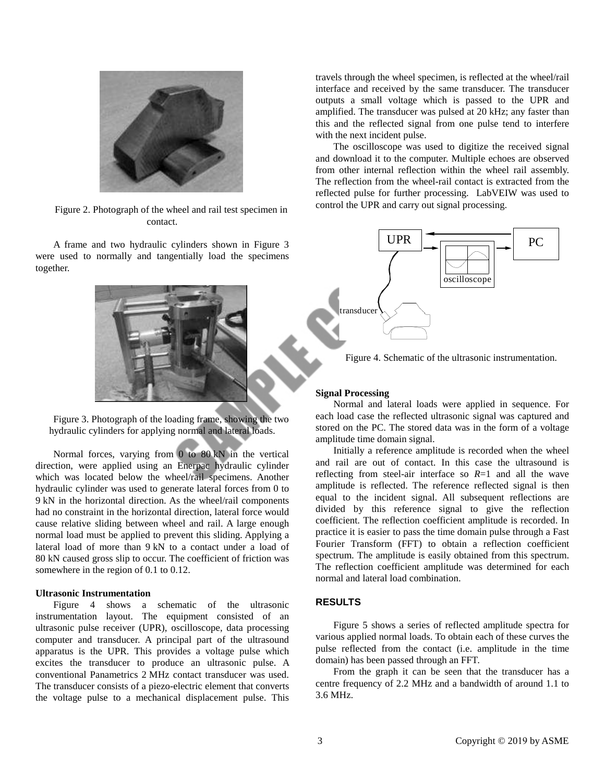

Figure 2. Photograph of the wheel and rail test specimen in contact.

A frame and two hydraulic cylinders shown in Figure 3 were used to normally and tangentially load the specimens together.



Figure 3. Photograph of the loading frame, showing the two hydraulic cylinders for applying normal and lateral loads.

Normal forces, varying from 0 to 80 kN in the vertical direction, were applied using an Enerpac hydraulic cylinder which was located below the wheel/rail specimens. Another hydraulic cylinder was used to generate lateral forces from 0 to 9 kN in the horizontal direction. As the wheel/rail components had no constraint in the horizontal direction, lateral force would cause relative sliding between wheel and rail. A large enough normal load must be applied to prevent this sliding. Applying a lateral load of more than 9 kN to a contact under a load of 80 kN caused gross slip to occur. The coefficient of friction was somewhere in the region of 0.1 to 0.12.

#### **Ultrasonic Instrumentation**

Figure 4 shows a schematic of the ultrasonic instrumentation layout. The equipment consisted of an ultrasonic pulse receiver (UPR), oscilloscope, data processing computer and transducer. A principal part of the ultrasound apparatus is the UPR. This provides a voltage pulse which excites the transducer to produce an ultrasonic pulse. A conventional Panametrics 2 MHz contact transducer was used. The transducer consists of a piezo-electric element that converts the voltage pulse to a mechanical displacement pulse. This travels through the wheel specimen, is reflected at the wheel/rail interface and received by the same transducer. The transducer outputs a small voltage which is passed to the UPR and amplified. The transducer was pulsed at 20 kHz; any faster than this and the reflected signal from one pulse tend to interfere with the next incident pulse.

The oscilloscope was used to digitize the received signal and download it to the computer. Multiple echoes are observed from other internal reflection within the wheel rail assembly. The reflection from the wheel-rail contact is extracted from the reflected pulse for further processing. LabVEIW was used to control the UPR and carry out signal processing.



Figure 4. Schematic of the ultrasonic instrumentation.

#### **Signal Processing**

Normal and lateral loads were applied in sequence. For each load case the reflected ultrasonic signal was captured and stored on the PC. The stored data was in the form of a voltage amplitude time domain signal.

Initially a reference amplitude is recorded when the wheel and rail are out of contact. In this case the ultrasound is reflecting from steel-air interface so  $R=1$  and all the wave amplitude is reflected. The reference reflected signal is then equal to the incident signal. All subsequent reflections are divided by this reference signal to give the reflection coefficient. The reflection coefficient amplitude is recorded. In practice it is easier to pass the time domain pulse through a Fast Fourier Transform (FFT) to obtain a reflection coefficient spectrum. The amplitude is easily obtained from this spectrum. The reflection coefficient amplitude was determined for each normal and lateral load combination.

## **RESULTS**

Figure 5 shows a series of reflected amplitude spectra for various applied normal loads. To obtain each of these curves the pulse reflected from the contact (i.e. amplitude in the time domain) has been passed through an FFT.

From the graph it can be seen that the transducer has a centre frequency of 2.2 MHz and a bandwidth of around 1.1 to 3.6 MHz.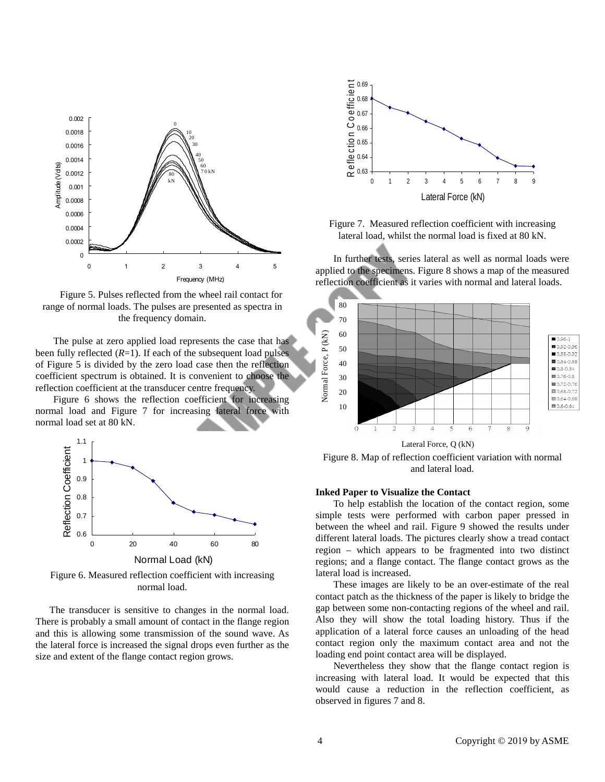

Figure 5. Pulses reflected from the wheel rail contact for range of normal loads. The pulses are presented as spectra in the frequency domain.

The pulse at zero applied load represents the case that has been fully reflected (*R*=1). If each of the subsequent load pulses of Figure 5 is divided by the zero load case then the reflection coefficient spectrum is obtained. It is convenient to choose the reflection coefficient at the transducer centre frequency.

Figure 6 shows the reflection coefficient for increasing normal load and Figure 7 for increasing lateral force with normal load set at 80 kN.



Figure 6. Measured reflection coefficient with increasing normal load.

The transducer is sensitive to changes in the normal load. There is probably a small amount of contact in the flange region and this is allowing some transmission of the sound wave. As the lateral force is increased the signal drops even further as the size and extent of the flange contact region grows.



Figure 7. Measured reflection coefficient with increasing lateral load, whilst the normal load is fixed at 80 kN.

In further tests, series lateral as well as normal loads were applied to the specimens. Figure 8 shows a map of the measured reflection coefficient as it varies with normal and lateral loads.



Figure 8. Map of reflection coefficient variation with normal and lateral load.

#### **Inked Paper to Visualize the Contact**

To help establish the location of the contact region, some simple tests were performed with carbon paper pressed in between the wheel and rail. Figure 9 showed the results under different lateral loads. The pictures clearly show a tread contact region – which appears to be fragmented into two distinct regions; and a flange contact. The flange contact grows as the lateral load is increased.

These images are likely to be an over-estimate of the real contact patch as the thickness of the paper is likely to bridge the gap between some non-contacting regions of the wheel and rail. Also they will show the total loading history. Thus if the application of a lateral force causes an unloading of the head contact region only the maximum contact area and not the loading end point contact area will be displayed.

Nevertheless they show that the flange contact region is increasing with lateral load. It would be expected that this would cause a reduction in the reflection coefficient, as observed in figures 7 and 8.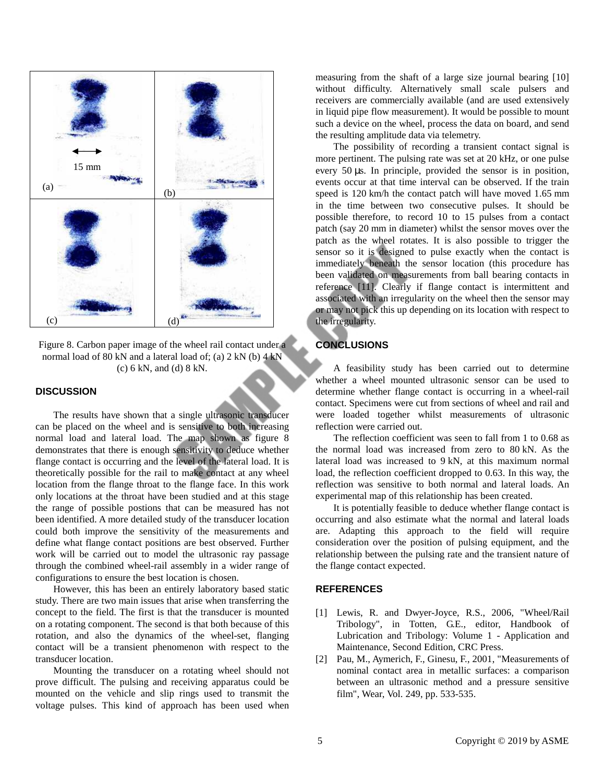

Figure 8. Carbon paper image of the wheel rail contact under a normal load of 80 kN and a lateral load of; (a) 2 kN (b) 4 kN (c) 6 kN, and (d) 8 kN.

## **DISCUSSION**

The results have shown that a single ultrasonic transducer can be placed on the wheel and is sensitive to both increasing normal load and lateral load. The map shown as figure 8 demonstrates that there is enough sensitivity to deduce whether flange contact is occurring and the level of the lateral load. It is theoretically possible for the rail to make contact at any wheel location from the flange throat to the flange face. In this work only locations at the throat have been studied and at this stage the range of possible postions that can be measured has not been identified. A more detailed study of the transducer location could both improve the sensitivity of the measurements and define what flange contact positions are best observed. Further work will be carried out to model the ultrasonic ray passage through the combined wheel-rail assembly in a wider range of configurations to ensure the best location is chosen.

However, this has been an entirely laboratory based static study. There are two main issues that arise when transferring the concept to the field. The first is that the transducer is mounted on a rotating component. The second is that both because of this rotation, and also the dynamics of the wheel-set, flanging contact will be a transient phenomenon with respect to the transducer location.

Mounting the transducer on a rotating wheel should not prove difficult. The pulsing and receiving apparatus could be mounted on the vehicle and slip rings used to transmit the voltage pulses. This kind of approach has been used when measuring from the shaft of a large size journal bearing [10] without difficulty. Alternatively small scale pulsers and receivers are commercially available (and are used extensively in liquid pipe flow measurement). It would be possible to mount such a device on the wheel, process the data on board, and send the resulting amplitude data via telemetry.

The possibility of recording a transient contact signal is more pertinent. The pulsing rate was set at 20 kHz, or one pulse every 50 µs. In principle, provided the sensor is in position, events occur at that time interval can be observed. If the train speed is 120 km/h the contact patch will have moved 1.65 mm in the time between two consecutive pulses. It should be possible therefore, to record 10 to 15 pulses from a contact patch (say 20 mm in diameter) whilst the sensor moves over the patch as the wheel rotates. It is also possible to trigger the sensor so it is designed to pulse exactly when the contact is immediately beneath the sensor location (this procedure has been validated on measurements from ball bearing contacts in reference [11]. Clearly if flange contact is intermittent and associated with an irregularity on the wheel then the sensor may or may not pick this up depending on its location with respect to the irregularity.

## **CONCLUSIONS**

A feasibility study has been carried out to determine whether a wheel mounted ultrasonic sensor can be used to determine whether flange contact is occurring in a wheel-rail contact. Specimens were cut from sections of wheel and rail and were loaded together whilst measurements of ultrasonic reflection were carried out.

The reflection coefficient was seen to fall from 1 to 0.68 as the normal load was increased from zero to 80 kN. As the lateral load was increased to 9 kN, at this maximum normal load, the reflection coefficient dropped to 0.63. In this way, the reflection was sensitive to both normal and lateral loads. An experimental map of this relationship has been created.

It is potentially feasible to deduce whether flange contact is occurring and also estimate what the normal and lateral loads are. Adapting this approach to the field will require consideration over the position of pulsing equipment, and the relationship between the pulsing rate and the transient nature of the flange contact expected.

#### **REFERENCES**

- [1] Lewis, R. and Dwyer-Joyce, R.S., 2006, "Wheel/Rail Tribology", in Totten, G.E., editor, Handbook of Lubrication and Tribology: Volume 1 - Application and Maintenance, Second Edition, CRC Press.
- [2] Pau, M., Aymerich, F., Ginesu, F., 2001, "Measurements of nominal contact area in metallic surfaces: a comparison between an ultrasonic method and a pressure sensitive film", Wear, Vol. 249, pp. 533-535.